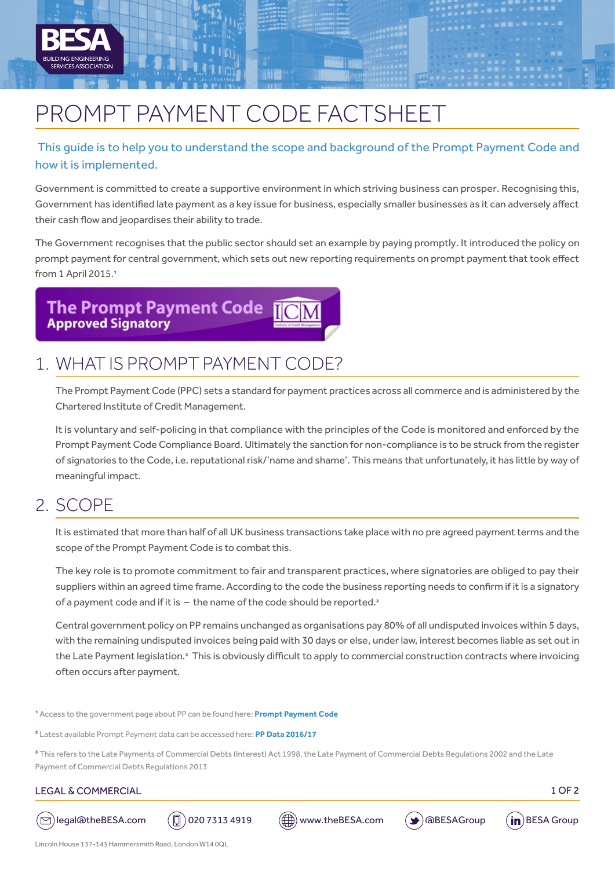

# PROMPT PAYMENT CODE FACTSHEET

### This guide is to help you to understand the scope and background of the Prompt Payment Code and how it is implemented.

Government is committed to create a supportive environment in which striving business can prosper. Recognising this, Government has identified late payment as a key issue for business, especially smaller businesses as it can adversely affect their cash flow and jeopardises their ability to trade.

The Government recognises that the public sector should set an example by paying promptly. It introduced the policy on prompt payment for central government, which sets out new reporting requirements on prompt payment that took effect from 1 April 2015.1

**The Prompt Payment Code Approved Signatory** 

## 1. WHAT IS PROMPT PAYMENT CODE?

The Prompt Payment Code (PPC) sets a standard for payment practices across all commerce and is administered by the Chartered Institute of Credit Management.

It is voluntary and self-policing in that compliance with the principles of the Code is monitored and enforced by the Prompt Payment Code Compliance Board. Ultimately the sanction for non-compliance is to be struck from the register of signatories to the Code, i.e. reputational risk/'name and shame'. This means that unfortunately, it has little by way of meaningful impact.

### 2. SCOPE

It is estimated that more than half of all UK business transactions take place with no pre agreed payment terms and the scope of the Prompt Payment Code is to combat this.

The key role is to promote commitment to fair and transparent practices, where signatories are obliged to pay their suppliers within an agreed time frame. According to the code the business reporting needs to confirm if it is a signatory of a payment code and if it is  $-$  the name of the code should be reported.<sup>2</sup>

Central government policy on PP remains unchanged as organisations pay 80% of all undisputed invoices within 5 days, with the remaining undisputed invoices being paid with 30 days or else, under law, interest becomes liable as set out in the Late Payment legislation.<sup>3</sup> This is obviously difficult to apply to commercial construction contracts where invoicing often occurs after payment.

1 Access to the government page about PP can be found here: **[Prompt Payment Code](http://www.promptpaymentcode.org.uk/)**

2 Latest available Prompt Payment data can be accessed here: **[PP Data 2016/17](https://www.gov.uk/government/publications/crown-commercial-service-prompt-payment-data/ccs-prompt-payment-data-20162017-q1-and-q2)**

3 This refers to the Late Payments of Commercial Debts (Interest) Act 1998, the Late Payment of Commercial Debts Regulations 2002 and the Late Payment of Commercial Debts Regulations 2013

#### LEGAL & COMMERCIAL 1 OF 2